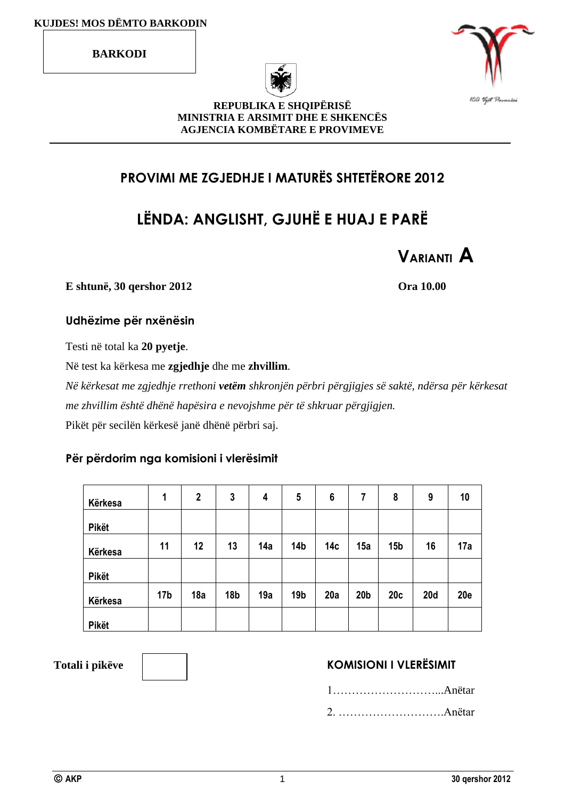**BARKODI**





#### **REPUBLIKA E SHQIPËRISË MINISTRIA E ARSIMIT DHE E SHKENCËS AGJENCIA KOMBËTARE E PROVIMEVE**

## **PROVIMI ME ZGJEDHJE I MATURËS SHTETËRORE 2012**

# **LËNDA: ANGLISHT, GJUHË E HUAJ E PARË**



**E shtunë, 30 qershor 2012 Ora 10.00**

#### **Udhëzime për nxënësin**

Testi në total ka **20 pyetje**.

Në test ka kërkesa me **zgjedhje** dhe me **zhvillim**.

*Në kërkesat me zgjedhje rrethoni vetëm shkronjën përbri përgjigjes së saktë, ndërsa për kërkesat me zhvillim është dhënë hapësira e nevojshme për të shkruar përgjigjen.* Pikët për secilën kërkesë janë dhënë përbri saj.

#### **Për përdorim nga komisioni i vlerësimit**

| Kërkesa      | 1               | $\mathbf 2$ | 3               | 4   | 5               | 6               | 7               | 8               | 9          | 10         |
|--------------|-----------------|-------------|-----------------|-----|-----------------|-----------------|-----------------|-----------------|------------|------------|
| <b>Pikët</b> |                 |             |                 |     |                 |                 |                 |                 |            |            |
| Kërkesa      | 11              | 12          | 13              | 14a | 14 <sub>b</sub> | 14 <sub>c</sub> | 15a             | 15 <sub>b</sub> | 16         | 17a        |
| Pikët        |                 |             |                 |     |                 |                 |                 |                 |            |            |
| Kërkesa      | 17 <sub>b</sub> | 18a         | 18 <sub>b</sub> | 19a | 19 <sub>b</sub> | 20a             | 20 <sub>b</sub> | 20c             | <b>20d</b> | <b>20e</b> |
| <b>Pikët</b> |                 |             |                 |     |                 |                 |                 |                 |            |            |

## Totali i pikëve **KOMISIONI I VLERËSIMIT**

1………………………...Anëtar 2. ……………………….Anëtar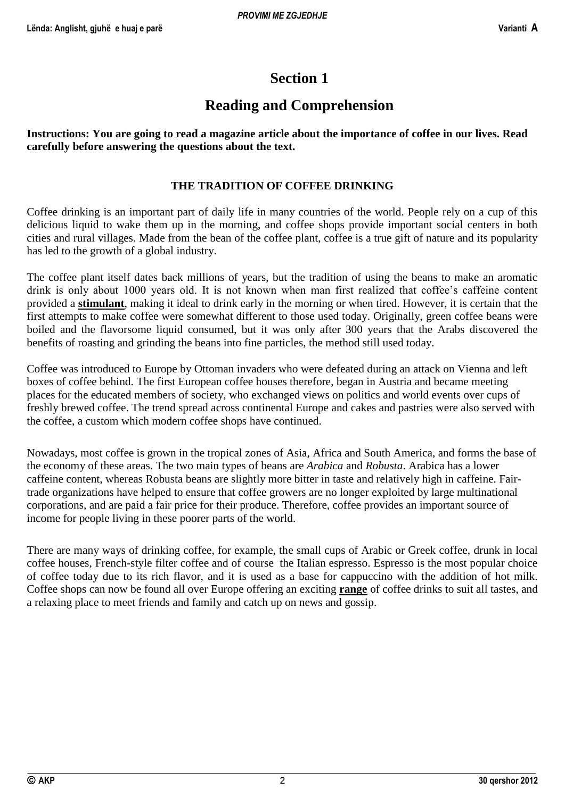## **Section 1**

## **Reading and Comprehension**

**Instructions: You are going to read a magazine article about the importance of coffee in our lives. Read carefully before answering the questions about the text.**

### **THE TRADITION OF COFFEE DRINKING**

Coffee drinking is an important part of daily life in many countries of the world. People rely on a cup of this delicious liquid to wake them up in the morning, and coffee shops provide important social centers in both cities and rural villages. Made from the bean of the coffee plant, coffee is a true gift of nature and its popularity has led to the growth of a global industry.

The coffee plant itself dates back millions of years, but the tradition of using the beans to make an aromatic drink is only about 1000 years old. It is not known when man first realized that coffee's caffeine content provided a **stimulant**, making it ideal to drink early in the morning or when tired. However, it is certain that the first attempts to make coffee were somewhat different to those used today. Originally, green coffee beans were boiled and the flavorsome liquid consumed, but it was only after 300 years that the Arabs discovered the benefits of roasting and grinding the beans into fine particles, the method still used today.

Coffee was introduced to Europe by Ottoman invaders who were defeated during an attack on Vienna and left boxes of coffee behind. The first European coffee houses therefore, began in Austria and became meeting places for the educated members of society, who exchanged views on politics and world events over cups of freshly brewed coffee. The trend spread across continental Europe and cakes and pastries were also served with the coffee, a custom which modern coffee shops have continued.

Nowadays, most coffee is grown in the tropical zones of Asia, Africa and South America, and forms the base of the economy of these areas. The two main types of beans are *Arabica* and *Robusta*. Arabica has a lower caffeine content, whereas Robusta beans are slightly more bitter in taste and relatively high in caffeine. Fairtrade organizations have helped to ensure that coffee growers are no longer exploited by large multinational corporations, and are paid a fair price for their produce. Therefore, coffee provides an important source of income for people living in these poorer parts of the world.

There are many ways of drinking coffee, for example, the small cups of Arabic or Greek coffee, drunk in local coffee houses, French-style filter coffee and of course the Italian espresso. Espresso is the most popular choice of coffee today due to its rich flavor, and it is used as a base for cappuccino with the addition of hot milk. Coffee shops can now be found all over Europe offering an exciting **range** of coffee drinks to suit all tastes, and a relaxing place to meet friends and family and catch up on news and gossip.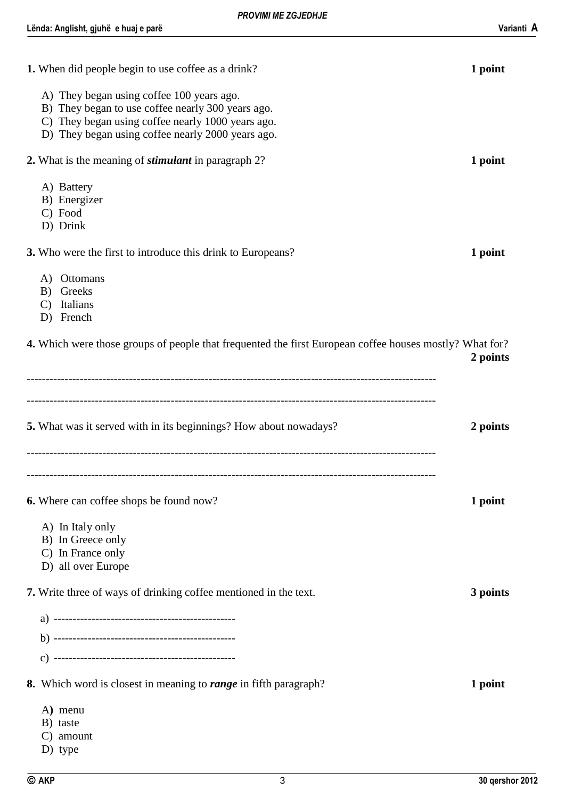| 1. When did people begin to use coffee as a drink?                                                                                                                                                       | 1 point  |
|----------------------------------------------------------------------------------------------------------------------------------------------------------------------------------------------------------|----------|
| A) They began using coffee 100 years ago.<br>B) They began to use coffee nearly 300 years ago.<br>C) They began using coffee nearly 1000 years ago.<br>D) They began using coffee nearly 2000 years ago. |          |
| 2. What is the meaning of <i>stimulant</i> in paragraph 2?                                                                                                                                               | 1 point  |
| A) Battery<br>B) Energizer<br>C) Food<br>D) Drink                                                                                                                                                        |          |
| 3. Who were the first to introduce this drink to Europeans?                                                                                                                                              | 1 point  |
| Ottomans<br>A)<br>Greeks<br>B)<br>Italians<br>$\mathcal{C}$<br>D) French                                                                                                                                 |          |
| <b>4.</b> Which were those groups of people that frequented the first European coffee houses mostly? What for?                                                                                           | 2 points |
| <b>5.</b> What was it served with in its beginnings? How about nowadays?                                                                                                                                 | 2 points |
| <b>6.</b> Where can coffee shops be found now?<br>A) In Italy only                                                                                                                                       | 1 point  |
| B) In Greece only<br>C) In France only                                                                                                                                                                   |          |
| D) all over Europe                                                                                                                                                                                       |          |
| 7. Write three of ways of drinking coffee mentioned in the text.                                                                                                                                         | 3 points |
|                                                                                                                                                                                                          |          |
|                                                                                                                                                                                                          |          |
|                                                                                                                                                                                                          |          |
| 8. Which word is closest in meaning to <i>range</i> in fifth paragraph?                                                                                                                                  | 1 point  |
| A) menu<br>B) taste<br>C) amount<br>D) type                                                                                                                                                              |          |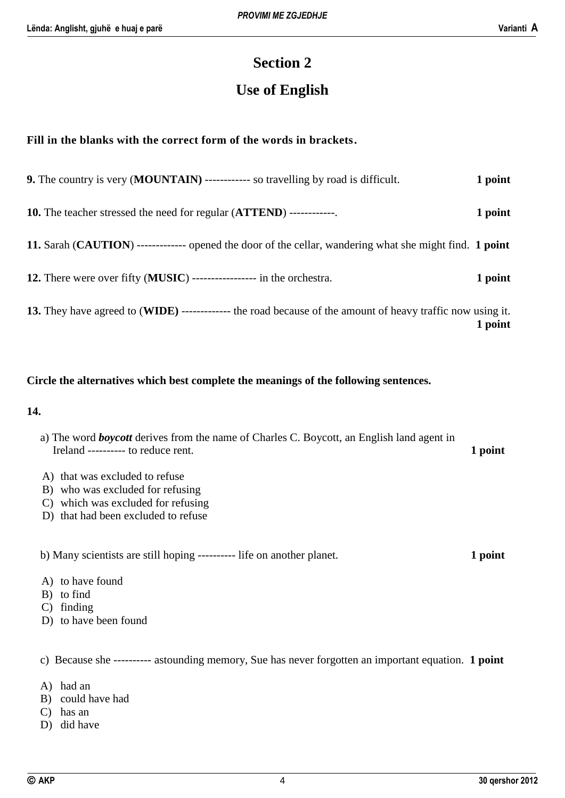## **Section 2**

## **Use of English**

#### **Fill in the blanks with the correct form of the words in brackets.**

| <b>9.</b> The country is very ( <b>MOUNTAIN</b> ) ------------ so travelling by road is difficult.         | 1 point |
|------------------------------------------------------------------------------------------------------------|---------|
| <b>10.</b> The teacher stressed the need for regular ( <b>ATTEND</b> ) -------------                       | 1 point |
| 11. Sarah (CAUTION) ------------- opened the door of the cellar, wandering what she might find. 1 point    |         |
| 12. There were over fifty (MUSIC) ---------------- in the orchestra.                                       | 1 point |
| 13. They have agreed to (WIDE) ------------- the road because of the amount of heavy traffic now using it. | 1 point |

#### **Circle the alternatives which best complete the meanings of the following sentences.**

#### **14.**

- a) The word *boycott* derives from the name of Charles C. Boycott, an English land agent in Ireland ---------- to reduce rent. **1 point**
- A) that was excluded to refuse
- B) who was excluded for refusing
- C) which was excluded for refusing
- D) that had been excluded to refuse

b) Many scientists are still hoping ---------- life on another planet. **1 point**

- A) to have found
- B) to find
- C) finding
- D) to have been found

#### c) Because she ---------- astounding memory, Sue has never forgotten an important equation. **1 point**

- A) had an
- B) could have had
- C) has an
- D) did have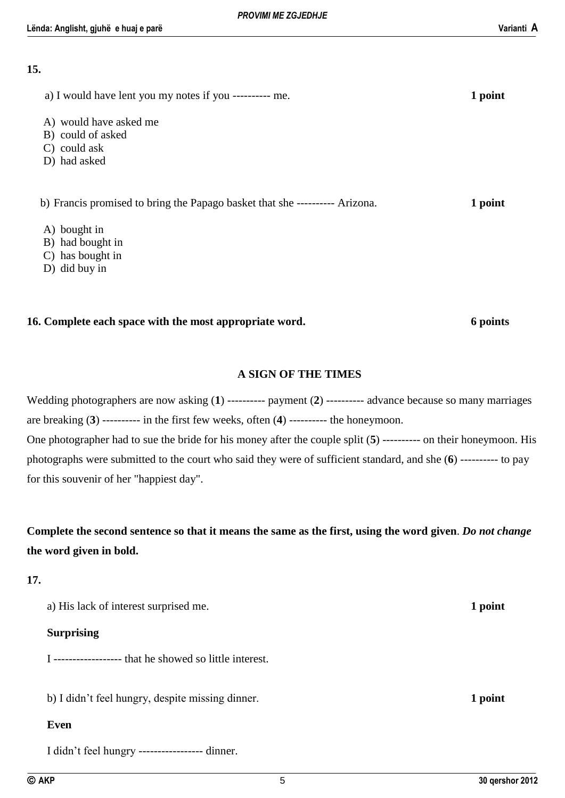#### **15.**

| a) I would have lent you my notes if you ---------- me.                     | 1 point |
|-----------------------------------------------------------------------------|---------|
| A) would have asked me                                                      |         |
| B) could of asked                                                           |         |
| $C$ ) could ask                                                             |         |
| D) had asked                                                                |         |
| b) Francis promised to bring the Papago basket that she ---------- Arizona. | 1 point |
| A) bought in                                                                |         |
| B) had bought in                                                            |         |
| C) has bought in                                                            |         |
| D) did buy in                                                               |         |

#### **16. Complete each space with the most appropriate word. 6 points**

#### **A SIGN OF THE TIMES**

Wedding photographers are now asking (**1**) ---------- payment (**2**) ---------- advance because so many marriages are breaking (**3**) ---------- in the first few weeks, often (**4**) ---------- the honeymoon. One photographer had to sue the bride for his money after the couple split (**5**) ---------- on their honeymoon. His photographs were submitted to the court who said they were of sufficient standard, and she (**6**) ---------- to pay for this souvenir of her "happiest day".

**Complete the second sentence so that it means the same as the first, using the word given**. *Do not change* **the word given in bold.**

#### **17.**

| a) His lack of interest surprised me.            | 1 point |
|--------------------------------------------------|---------|
| <b>Surprising</b>                                |         |
|                                                  |         |
|                                                  |         |
| b) I didn't feel hungry, despite missing dinner. | 1 point |
| Even                                             |         |
| I didn't feel hungry ----------------- dinner.   |         |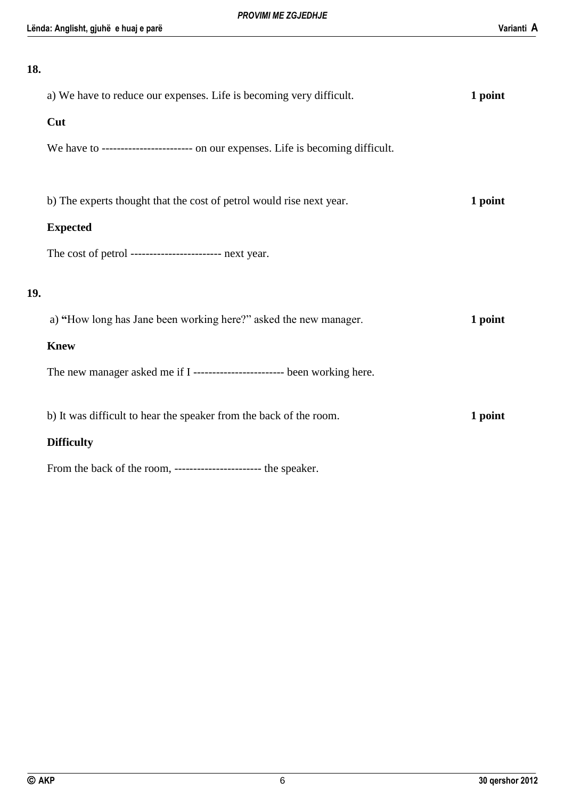#### **18.**

|     | a) We have to reduce our expenses. Life is becoming very difficult.             | 1 point |
|-----|---------------------------------------------------------------------------------|---------|
|     | Cut                                                                             |         |
|     | We have to ----------------------- on our expenses. Life is becoming difficult. |         |
|     |                                                                                 |         |
|     | b) The experts thought that the cost of petrol would rise next year.            | 1 point |
|     | <b>Expected</b>                                                                 |         |
|     | The cost of petrol ---------------------- next year.                            |         |
|     |                                                                                 |         |
| 19. |                                                                                 |         |
|     | a) "How long has Jane been working here?" asked the new manager.                | 1 point |
|     | <b>Knew</b>                                                                     |         |
|     | The new manager asked me if I ------------------------- been working here.      |         |
|     |                                                                                 |         |
|     | b) It was difficult to hear the speaker from the back of the room.              | 1 point |
|     | <b>Difficulty</b>                                                               |         |
|     |                                                                                 |         |

From the back of the room, ----------------------- the speaker.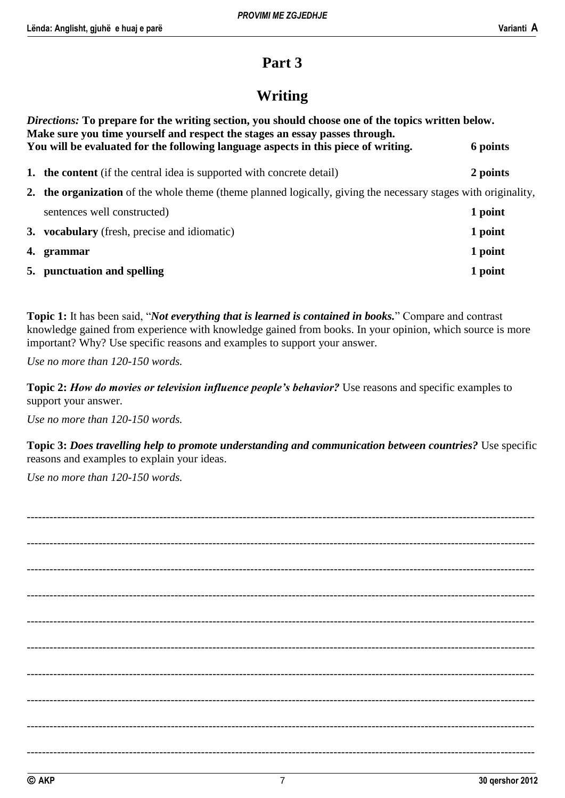## **Part 3**

## **Writing**

| <i>Directions:</i> To prepare for the writing section, you should choose one of the topics written below.<br>Make sure you time yourself and respect the stages an essay passes through.<br>You will be evaluated for the following language aspects in this piece of writing. | 6 points |  |
|--------------------------------------------------------------------------------------------------------------------------------------------------------------------------------------------------------------------------------------------------------------------------------|----------|--|
| <b>1.</b> the content (if the central idea is supported with concrete detail)                                                                                                                                                                                                  | 2 points |  |
| 2. the organization of the whole theme (theme planned logically, giving the necessary stages with originality,                                                                                                                                                                 |          |  |
| sentences well constructed)                                                                                                                                                                                                                                                    | 1 point  |  |
| <b>3. vocabulary</b> (fresh, precise and idiomatic)                                                                                                                                                                                                                            | 1 point  |  |
| 4. grammar                                                                                                                                                                                                                                                                     | 1 point  |  |
| 5. punctuation and spelling                                                                                                                                                                                                                                                    | 1 point  |  |

**Topic 1:** It has been said, "*Not everything that is learned is contained in books.*" Compare and contrast knowledge gained from experience with knowledge gained from books. In your opinion, which source is more important? Why? Use specific reasons and examples to support your answer.

*Use no more than 120-150 words.*

**Topic 2:** *How do movies or television influence people's behavior?* Use reasons and specific examples to support your answer.

*Use no more than 120-150 words.*

**Topic 3:** *Does travelling help to promote understanding and communication between countries?* Use specific reasons and examples to explain your ideas.

*Use no more than 120-150 words.*

-------------------------------------------------------------------------------------------------------------------------------------- -------------------------------------------------------------------------------------------------------------------------------------- -------------------------------------------------------------------------------------------------------------------------------------- -------------------------------------------------------------------------------------------------------------------------------------- -------------------------------------------------------------------------------------------------------------------------------------- -------------------------------------------------------------------------------------------------------------------------------------- -------------------------------------------------------------------------------------------------------------------------------------- -------------------------------------------------------------------------------------------------------------------------------------- -------------------------------------------------------------------------------------------------------------------------------------- --------------------------------------------------------------------------------------------------------------------------------------